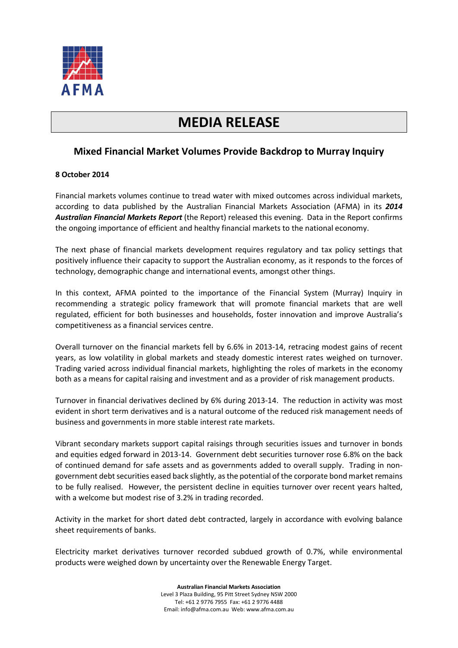

# **MEDIA RELEASE**

# **Mixed Financial Market Volumes Provide Backdrop to Murray Inquiry**

# **8 October 2014**

Financial markets volumes continue to tread water with mixed outcomes across individual markets, according to data published by the Australian Financial Markets Association (AFMA) in its *2014 [Australian Financial Markets Report](http://www.afma.com.au/data/afmr/2014%20afmr.pdf)* (the Report) released this evening. Data in the Report confirms the ongoing importance of efficient and healthy financial markets to the national economy.

The next phase of financial markets development requires regulatory and tax policy settings that positively influence their capacity to support the Australian economy, as it responds to the forces of technology, demographic change and international events, amongst other things.

In this context, AFMA pointed to the importance of the Financial System (Murray) Inquiry in recommending a strategic policy framework that will promote financial markets that are well regulated, efficient for both businesses and households, foster innovation and improve Australia's competitiveness as a financial services centre.

Overall turnover on the financial markets fell by 6.6% in 2013-14, retracing modest gains of recent years, as low volatility in global markets and steady domestic interest rates weighed on turnover. Trading varied across individual financial markets, highlighting the roles of markets in the economy both as a means for capital raising and investment and as a provider of risk management products.

Turnover in financial derivatives declined by 6% during 2013-14. The reduction in activity was most evident in short term derivatives and is a natural outcome of the reduced risk management needs of business and governments in more stable interest rate markets.

Vibrant secondary markets support capital raisings through securities issues and turnover in bonds and equities edged forward in 2013-14. Government debt securities turnover rose 6.8% on the back of continued demand for safe assets and as governments added to overall supply. Trading in nongovernment debt securities eased back slightly, as the potential of the corporate bond market remains to be fully realised. However, the persistent decline in equities turnover over recent years halted, with a welcome but modest rise of 3.2% in trading recorded.

Activity in the market for short dated debt contracted, largely in accordance with evolving balance sheet requirements of banks.

Electricity market derivatives turnover recorded subdued growth of 0.7%, while environmental products were weighed down by uncertainty over the Renewable Energy Target.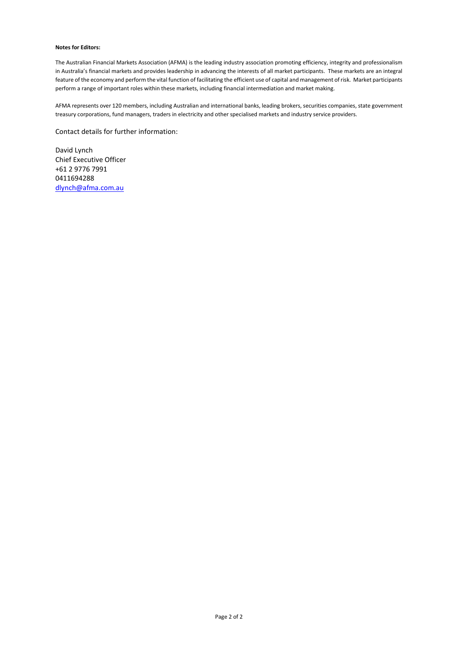#### **Notes for Editors:**

The Australian Financial Markets Association (AFMA) is the leading industry association promoting efficiency, integrity and professionalism in Australia's financial markets and provides leadership in advancing the interests of all market participants. These markets are an integral feature of the economy and perform the vital function of facilitating the efficient use of capital and management of risk. Market participants perform a range of important roles within these markets, including financial intermediation and market making.

AFMA represents over 120 members, including Australian and international banks, leading brokers, securities companies, state government treasury corporations, fund managers, traders in electricity and other specialised markets and industry service providers.

Contact details for further information:

David Lynch Chief Executive Officer +61 2 9776 7991 0411694288 [dlynch@afma.com.au](mailto:dlynch@afma.com.au)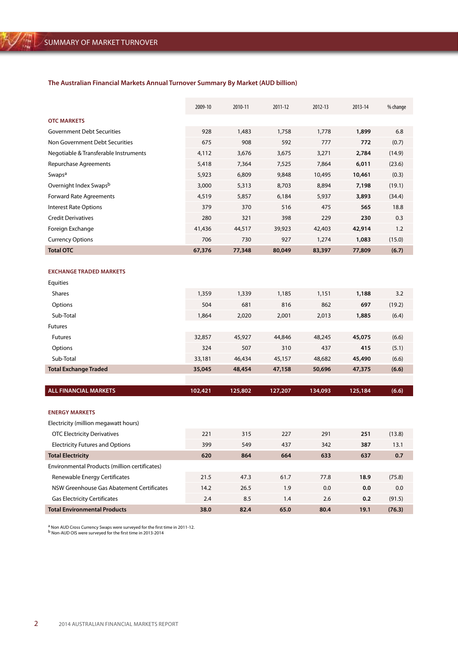## **The Australian Financial Markets Annual Turnover Summary By Market (AUD billion)**

|                                       | 2009-10 | 2010-11 | 2011-12 | 2012-13 | 2013-14 | % change |
|---------------------------------------|---------|---------|---------|---------|---------|----------|
| <b>OTC MARKETS</b>                    |         |         |         |         |         |          |
| <b>Government Debt Securities</b>     | 928     | 1,483   | 1,758   | 1,778   | 1,899   | 6.8      |
| Non Government Debt Securities        | 675     | 908     | 592     | 777     | 772     | (0.7)    |
| Negotiable & Transferable Instruments | 4,112   | 3,676   | 3,675   | 3,271   | 2,784   | (14.9)   |
| Repurchase Agreements                 | 5,418   | 7,364   | 7,525   | 7,864   | 6,011   | (23.6)   |
| Swaps <sup>a</sup>                    | 5,923   | 6,809   | 9,848   | 10,495  | 10,461  | (0.3)    |
| Overnight Index Swapsb                | 3,000   | 5,313   | 8,703   | 8,894   | 7,198   | (19.1)   |
| <b>Forward Rate Agreements</b>        | 4,519   | 5,857   | 6,184   | 5,937   | 3,893   | (34.4)   |
| <b>Interest Rate Options</b>          | 379     | 370     | 516     | 475     | 565     | 18.8     |
| <b>Credit Derivatives</b>             | 280     | 321     | 398     | 229     | 230     | 0.3      |
| Foreign Exchange                      | 41,436  | 44,517  | 39,923  | 42,403  | 42,914  | 1.2      |
| <b>Currency Options</b>               | 706     | 730     | 927     | 1,274   | 1,083   | (15.0)   |
| <b>Total OTC</b>                      | 67,376  | 77,348  | 80,049  | 83,397  | 77,809  | (6.7)    |

#### **Exchange Traded Markets**

| Equities                     |        |        |        |        |        |        |
|------------------------------|--------|--------|--------|--------|--------|--------|
| <b>Shares</b>                | 1,359  | 1,339  | 1,185  | 1,151  | 1,188  | 3.2    |
| Options                      | 504    | 681    | 816    | 862    | 697    | (19.2) |
| Sub-Total                    | 1,864  | 2,020  | 2,001  | 2,013  | 1,885  | (6.4)  |
| <b>Futures</b>               |        |        |        |        |        |        |
| <b>Futures</b>               | 32,857 | 45,927 | 44,846 | 48,245 | 45,075 | (6.6)  |
| Options                      | 324    | 507    | 310    | 437    | 415    | (5.1)  |
| Sub-Total                    | 33,181 | 46,434 | 45,157 | 48,682 | 45,490 | (6.6)  |
| <b>Total Exchange Traded</b> | 35,045 | 48,454 | 47,158 | 50,696 | 47,375 | (6.6)  |
|                              |        |        |        |        |        |        |

| <b>ALL FINANCIAL MARKETS</b> | 102.421<br>125,802 | 127,207 | (6.6)<br>134.093<br>125,184 |
|------------------------------|--------------------|---------|-----------------------------|
|------------------------------|--------------------|---------|-----------------------------|

#### **Energy Markets**

Electricity (million megawatt hours)

| Electricity (million megawatt nours)          |      |      |      |      |      |        |
|-----------------------------------------------|------|------|------|------|------|--------|
| <b>OTC Electricity Derivatives</b>            | 221  | 315  | 227  | 291  | 251  | (13.8) |
| <b>Electricity Futures and Options</b>        | 399  | 549  | 437  | 342  | 387  | 13.1   |
| <b>Total Electricity</b>                      | 620  | 864  | 664  | 633  | 637  | 0.7    |
| Environmental Products (million certificates) |      |      |      |      |      |        |
| Renewable Energy Certificates                 | 21.5 | 47.3 | 61.7 | 77.8 | 18.9 | (75.8) |
| NSW Greenhouse Gas Abatement Certificates     | 14.2 | 26.5 | 1.9  | 0.0  | 0.0  | 0.0    |
| <b>Gas Electricity Certificates</b>           | 2.4  | 8.5  | 1.4  | 2.6  | 0.2  | (91.5) |
| <b>Total Environmental Products</b>           | 38.0 | 82.4 | 65.0 | 80.4 | 19.1 | (76.3) |
|                                               |      |      |      |      |      |        |

<sup>a</sup> Non AUD Cross Currency Swaps were surveyed for the first time in 2011-12.<br><sup>b</sup> Non-AUD OIS were surveyed for the first time in 2013-2014